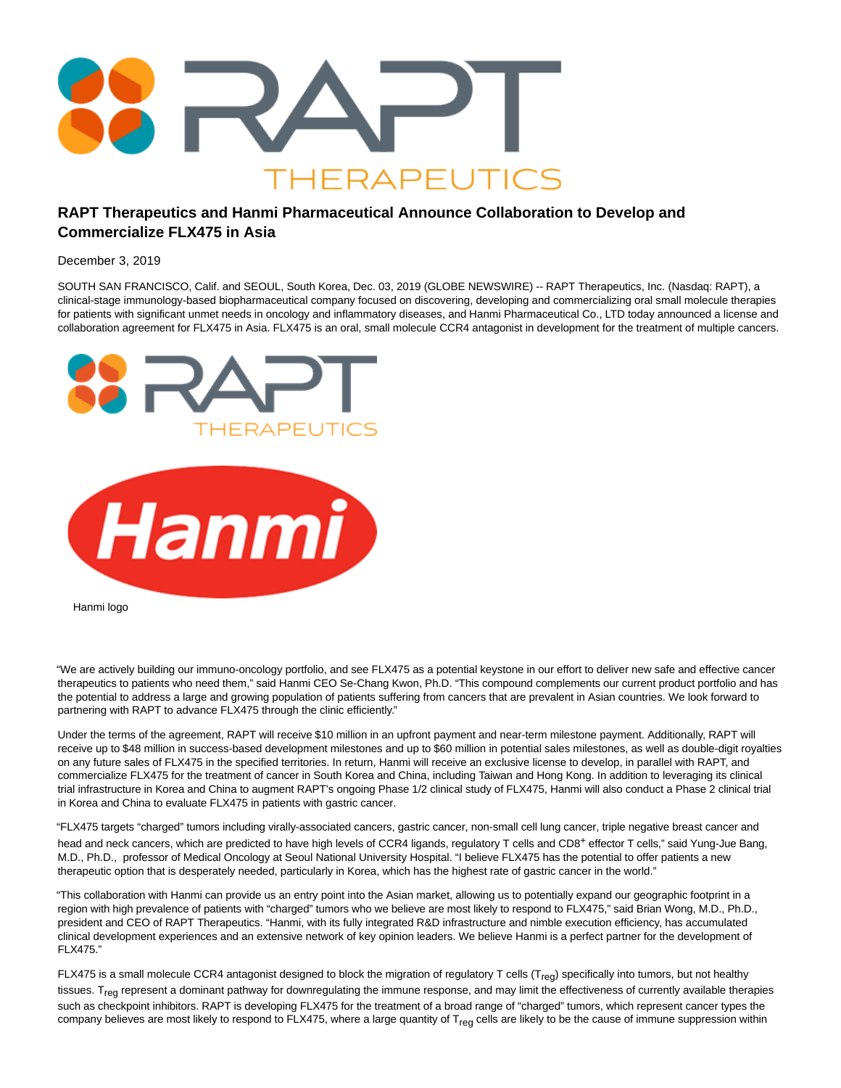

## **RAPT Therapeutics and Hanmi Pharmaceutical Announce Collaboration to Develop and Commercialize FLX475 in Asia**

December 3, 2019

SOUTH SAN FRANCISCO, Calif. and SEOUL, South Korea, Dec. 03, 2019 (GLOBE NEWSWIRE) -- RAPT Therapeutics, Inc. (Nasdaq: RAPT), a clinical-stage immunology-based biopharmaceutical company focused on discovering, developing and commercializing oral small molecule therapies for patients with significant unmet needs in oncology and inflammatory diseases, and Hanmi Pharmaceutical Co., LTD today announced a license and collaboration agreement for FLX475 in Asia. FLX475 is an oral, small molecule CCR4 antagonist in development for the treatment of multiple cancers.



Hanmi logo

"We are actively building our immuno-oncology portfolio, and see FLX475 as a potential keystone in our effort to deliver new safe and effective cancer therapeutics to patients who need them," said Hanmi CEO Se-Chang Kwon, Ph.D. "This compound complements our current product portfolio and has the potential to address a large and growing population of patients suffering from cancers that are prevalent in Asian countries. We look forward to partnering with RAPT to advance FLX475 through the clinic efficiently."

Under the terms of the agreement, RAPT will receive \$10 million in an upfront payment and near-term milestone payment. Additionally, RAPT will receive up to \$48 million in success-based development milestones and up to \$60 million in potential sales milestones, as well as double-digit royalties on any future sales of FLX475 in the specified territories. In return, Hanmi will receive an exclusive license to develop, in parallel with RAPT, and commercialize FLX475 for the treatment of cancer in South Korea and China, including Taiwan and Hong Kong. In addition to leveraging its clinical trial infrastructure in Korea and China to augment RAPT's ongoing Phase 1/2 clinical study of FLX475, Hanmi will also conduct a Phase 2 clinical trial in Korea and China to evaluate FLX475 in patients with gastric cancer.

"FLX475 targets "charged" tumors including virally-associated cancers, gastric cancer, non-small cell lung cancer, triple negative breast cancer and head and neck cancers, which are predicted to have high levels of CCR4 ligands, regulatory T cells and CD8<sup>+</sup> effector T cells," said Yung-Jue Bang, M.D., Ph.D., professor of Medical Oncology at Seoul National University Hospital. "I believe FLX475 has the potential to offer patients a new therapeutic option that is desperately needed, particularly in Korea, which has the highest rate of gastric cancer in the world."

"This collaboration with Hanmi can provide us an entry point into the Asian market, allowing us to potentially expand our geographic footprint in a region with high prevalence of patients with "charged" tumors who we believe are most likely to respond to FLX475," said Brian Wong, M.D., Ph.D., president and CEO of RAPT Therapeutics. "Hanmi, with its fully integrated R&D infrastructure and nimble execution efficiency, has accumulated clinical development experiences and an extensive network of key opinion leaders. We believe Hanmi is a perfect partner for the development of FLX475."

FLX475 is a small molecule CCR4 antagonist designed to block the migration of regulatory T cells ( $T_{\text{req}}$ ) specifically into tumors, but not healthy tissues. T<sub>reg</sub> represent a dominant pathway for downregulating the immune response, and may limit the effectiveness of currently available therapies such as checkpoint inhibitors. RAPT is developing FLX475 for the treatment of a broad range of "charged" tumors, which represent cancer types the company believes are most likely to respond to FLX475, where a large quantity of T<sub>req</sub> cells are likely to be the cause of immune suppression within